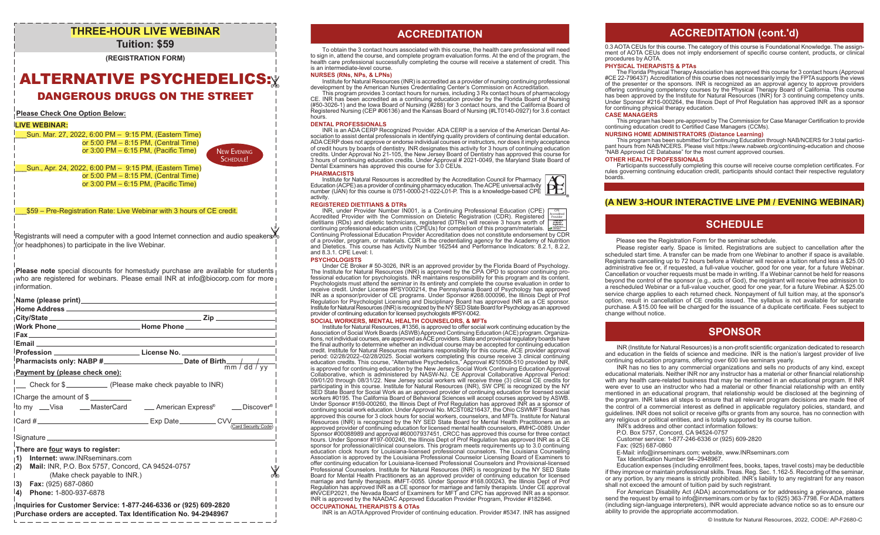### **THREE-HOUR LIVE WEBINAR Tuition: \$59**

### **(REGISTRATION FORM)**

# ALTERNATIVE PSYCHEDELICS: DANGEROUS DRUGS ON THE STREET

### **Please Check One Option Below:**

### **LIVE WEBINAR:**

\_\_\_Sun. Mar. 27, 2022, 6:00 PM – 9:15 PM, (Eastern Time) or 5:00  PM – 8:15 PM, (Central Time) or 3:00 PM – 6:15 PM, (Pacific Time)

New Evening SCHEDULE!

\_\_\_Sun., Apr. 24, 2022, 6:00 PM – 9:15 PM, (Eastern Time) or 5:00  PM – 8:15 PM, (Central Time) or 3:00 PM – 6:15 PM, (Pacific Time)

\_\_\_\$59 – Pre-Registration Rate: Live Webinar with 3 hours of CE credit.

Registrants will need a computer with a good Internet connection and audio speakers (or headphones) to participate in the live Webinar.

**Please note** special discounts for homestudy purchase are available for students who are registered for webinars. Please email INR at info@biocorp.com for more information.

| Fax <b>Frame and Construction of the Construction</b>                    |                                                                                 |
|--------------------------------------------------------------------------|---------------------------------------------------------------------------------|
|                                                                          |                                                                                 |
|                                                                          | 「Profession __________________________ License No. ____________________________ |
|                                                                          |                                                                                 |
| Payment by (please check one):                                           |                                                                                 |
| $\frac{1}{2}$ Check for $\frac{2}{2}$ (Please make check payable to INR) |                                                                                 |
| Charge the amount of \$                                                  |                                                                                 |
|                                                                          | <sup>1</sup> to my ___Visa _____MasterCard _____American Express® ____Discover® |
|                                                                          | (Card Security Code)                                                            |
|                                                                          |                                                                                 |
|                                                                          |                                                                                 |
| There are four ways to register:                                         |                                                                                 |
| <b>Internet: www.INRseminars.com</b><br>$\mathbf{1}$                     |                                                                                 |
| 2)<br>Mail: INR, P.O. Box 5757, Concord, CA 94524-0757                   |                                                                                 |
| (Make check payable to INR.)                                             |                                                                                 |
| $ 3\rangle$<br><b>Fax:</b> (925) 687-0860                                |                                                                                 |
| Phone: 1-800-937-6878<br>$ 4\rangle$                                     |                                                                                 |
| Inquiries for Customer Service: 1-877-246-6336 or (925) 609-2820         |                                                                                 |

**Inquiries for Customer Service: 1-877-246-6336 or (925) 609-2820 Purchase orders are accepted. Tax Identification No. 94-2948967**

## **ACCREDITATION ACCREDITATION**

To obtain the 3 contact hours associated with this course, the health care professional will need to sign in, attend the course, and complete program evaluation forms. At the end of the program, the health care professional successfully completing the course will receive a statement of credit. This is an intermediate-level course.

#### **NURSES (RNs, NPs, & LPNs)**

Institute for Natural Resources (INR) is accredited as a provider of nursing continuing professional development by the American Nurses Credentialing Center's Commission on Accreditation.

This program provides 3 contact hours for nurses, including 3 Rx contact hours of pharmacology CE. INR has been accredited as a continuing education provider by the Florida Board of Nursing (#50-3026-1) and the Iowa Board of Nursing (#288) for 3 contact hours, and the California Board of Registered Nursing (CEP #06136) and the Kansas Board of Nursing (#LT0140-0927) for 3.6 contact hours.

**DENTAL PROFESSIONALS**<br>INR is an ADA CERP Recognized Provider. ADA CERP is a service of the American Dental As-INR is an ADA CERP Recognized Provider. ADA CERP is a service of the American Dental As- sociation to assist dental professionals in identifying quality providers of continuing dental education. ADA CERP does not approve or endorse individual courses or instructors, nor does it imply acceptance of credit hours by boards of dentistry. INR designates this activity for 3 hours of continuing education credits. Under Approval No 21-105, the New Jersey Board of Dentistry has approved this course for 3 hours of continuing education credits. Under Approval # 2021-0049, the Maryland State Board of Dental Examiners has approved this course for 3.0 CEUs.

#### **PHARMACISTS**

Institute for Natural Resources is accredited by the Accreditation Council for Pharmacy Education (ACPE) as a provider of continuing pharmacy education. The ACPE universal activity number (UAN) for this course is 0751-0000-21-022-L01-P. This is a knowledge-based CPE activity.

#### **REGISTERED DIETITIANS & DTRs**

INR, under Provider Number IN001, is a Continuing Professional Education (CPE) Accredited Provider with the Commission on Dietetic Registration (CDR). Registered dietitians (RDs) and dietetic technicians, registered (DTRs) will receive 3 hours worth of continuing professional education units (CPEUs) for completion of this program/materials. Continuing Professional Education Provider Accreditation does not constitute endorsement by CDR of a provider, program, or materials. CDR is the credentialing agency for the Academy of Nutrition and Dietetics. This course has Activity Number 162544 and Performance Indicators: 8.2.1, 8.2.2, and 8.3.1. CPE Level: I. CPE Accredited Provider

#### **PSYCHOLOGISTS**

Under CE Broker # 50-3026, INR is an approved provider by the Florida Board of Psychology.<br>The Institute for Natural Resources (INR) is approved by the CPA OPD to sponsor continuing pro-<br>fessional education for psychologis Psychologists must attend the seminar in its entirety and complete the course evaluation in order to receive credit. Under License #PSY000214, the Pennsylvania Board of Psychology has approved INR as a sponsor/provider of CE programs. Under Sponsor #268.000096, the Illinois Dept of Prof Regulation for Psychologist Licensing and Disciplinary Board has approved INR as a CE sponsor. Institute for Natural Resources (INR) is recognized by the NY SED State Board for Psychology as an approved provider of continuing education for licensed psychologists #PSY-0042.

#### **SOCIAL WORKERS, MENTAL HEALTH COUNSELORS, & MFTs**

Institute for Natural Resources, #1356, is approved to offer social work continuing education by the Association of Social Work Boards (ASWB) Approved Continuing Education (ACE) program. Organizations, not individual courses, are approved as ACE providers. State and provincial regulatory boards have the final authority to determine whether an individual course may be accepted for continuing education credit. Institute for Natural Resources maintains responsibility for this course. ACE provider approval period: 02/28/2022–02/28/2025. Social workers completing this course receive 3 clinical continuing education credits. This course, "Alternative Psychedelics," Approval #210508-510 provided by INR,<br>is approved for continuing education by the New Jersey Social Work Continuing Education Approval<br>Collaborative, which is adm 09/01/20 through 08/31/22. New Jersey social workers will receive three (3) clinical CE credits for participating in this course. Institute for Natural Resources (INR), SW CPE is recognized by the NY SED State Board for Social Work as an approved provider of continuing education for licensed social<br>workers #0195. The California Board of Behavioral Sciences will accept courses approved by ASWB.<br>Under Sponsor #159-000260 continuing social work education. Under Approval No. MCST08216437, the Ohio CSWMFT Board has approved this course for 3 clock hours for social workers, counselors, and MFTs. Institute for Natural Resources (INR) is recognized by the NY SED State Board for Mental Health Practitioners as an approved provider of continuing education for licensed mental health counselors, #MHC-0089. Under Sponsor #00088989 and approval #60007937451, CRCC has approved this course for three contact hours. Under Sponsor #197-000240, the Illinois Dept of Prof Regulation has approved INR as a CE sponsor for professional/clinical counselors. This program meets requirements up to 3.0 continuing education clock hours for Louisiana-licensed professional counselors. The Louisiana Counseling Association is approved by the Louisiana Professional Counselor Licensing Board of Examiners to offer continuing education for Louisiana-licensed Professional Counselors and Provisional-licensed Professional Counselors. Institute for Natural Resources (INR) is recognized by the NY SED State Board for Mental Health Practitioners as an approved provider of continuing education for licensed marriage and family therapists. #MFT-0055. Under Sponsor #168.000243, the Illinois Dept of Prof Regulation has approved INR as a CE sponsor for marriage and family therapists. Under CE approval #NVCEP2021, the Nevada Board of Examiners for MFT and CPC has approved INR as a sponsor. INR is approved by the NAADAC Approved Education Provider Program, Provider #182846. **OCCUPATIONAL THERAPISTS & OTAs**

INR is an AOTA Approved Provider of continuing education. Provider #5347. INR has assigned

### **ACCREDITATION (cont.'d)**

0.3 AOTA CEUs for this course. The category of this course is Foundational Knowledge. The assignment of AOTA CEUs does not imply endorsement of specific course content, products, or clinical procedures by AOTA.

#### **PHYSICAL THERAPISTS & PTAs**

The Florida Physical Therapy Association has approved this course for 3 contact hours (Approval #CE 22-796437) Accreditation of this course does not necessarily imply the FPTA supports the views of the presenter or the sponsors. INR is recognized as an approval agency to approve providers offering continuing competency courses by the Physical Therapy Board of California. This course has been approved by the Institute for Natural Resources (INR) for 3 continuing competency units. Under Sponsor #216-000264, the Illinois Dept of Prof Regulation has approved INR as a sponsor for continuing physical therapy education.

#### **CASE MANAGERS**

This program has been pre-approved by The Commission for Case Manager Certification to provide continuing education credit to Certified Case Managers (CCMs).

#### **NURSING HOME ADMINISTRATORS (Distance Learning)**

This program has been submitted for Continuing Education through NAB/NCERS for 3 total participant hours from NAB/NCERS. Please visit https://www.nabweb.org/continuing-education and choose "NAB Approved CE Database" for the most current approved courses.

#### **OTHER HEALTH PROFESSIONALS**

Participants successfully completing this course will receive course completion certificates. For rules governing continuing education credit, participants should contact their respective regulatory boards.

### **(A NEW 3-HOUR INTERACTIVE LIVE PM / EVENING WEBINAR)**

### **SCHEDULE**

Please see the Registration Form for the seminar schedule.

 Please register early. Space is limited. Registrations are subject to cancellation after the scheduled start time. A transfer can be made from one Webinar to another if space is available. Registrants cancelling up to 72 hours before a Webinar will receive a tuition refund less a \$25.00 administrative fee or, if requested, a full-value voucher, good for one year, for a future Webinar. Cancellation or voucher requests must be made in writing. If a Webinar cannot be held for reasons beyond the control of the sponsor (e.g., acts of God), the registrant will receive free admission to a rescheduled Webinar or a full-value voucher, good for one year, for a future Webinar. A \$25.00 service charge applies to each returned check. Nonpayment of full tuition may, at the sponsor's option, result in cancellation of CE credits issued. The syllabus is not available for separate purchase. A \$15.00 fee will be charged for the issuance of a duplicate certificate. Fees subject to change without notice.

### **SPONSOR**

INR (Institute for Natural Resources) is a non-profit scientific organization dedicated to research and education in the fields of science and medicine. INR is the nation's largest provider of live continuing education programs, offering over 600 live seminars yearly.

 INR has no ties to any commercial organizations and sells no products of any kind, except educational materials. Neither INR nor any instructor has a material or other financial relationship with any health care-related business that may be mentioned in an educational program. If INR were ever to use an instructor who had a material or other financial relationship with an entity mentioned in an educational program, that relationship would be disclosed at the beginning of the program. INR takes all steps to ensure that all relevant program decisions are made free of the control of a commercial interest as defined in applicable regulatory policies, standard, and guidelines. INR does not solicit or receive gifts or grants from any source, has no connection with any religious or political entities, and is totally supported by its course tuition.

INR's address and other contact information follows:

P.O. Box 5757, Concord, CA 94524-0757

Customer service: 1-877-246-6336 or (925) 609-2820

Fax: (925) 687-0860

E-Mail: info@inrseminars.com; website, www.INRseminars.com

Tax Identification Number 94–2948967.

 Education expenses (including enrollment fees, books, tapes, travel costs) may be deductible if they improve or maintain professional skills. Treas. Reg. Sec. 1.162-5. Recording of the seminar, or any portion, by any means is strictly prohibited. INR's liability to any registrant for any reason shall not exceed the amount of tuition paid by such registrant.

 For American Disability Act (ADA) accommodations or for addressing a grievance, please send the request by email to info@inrseminars.com or by fax to (925) 363-7798. For ADA matters (including sign-language interpreters), INR would appreciate advance notice so as to ensure our ability to provide the appropriate accommodation.